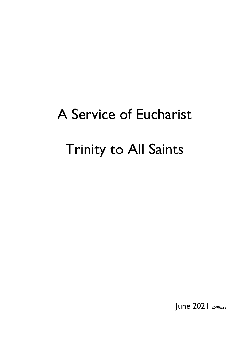# A Service of Eucharist Trinity to All Saints

June 2021 26/06/22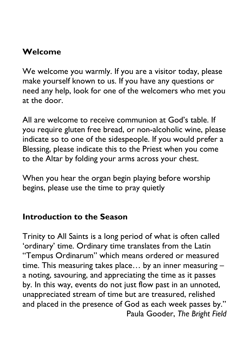# **Welcome**

We welcome you warmly. If you are a visitor today, please make yourself known to us. If you have any questions or need any help, look for one of the welcomers who met you at the door.

All are welcome to receive communion at God's table. If you require gluten free bread, or non-alcoholic wine, please indicate so to one of the sidespeople. If you would prefer a Blessing, please indicate this to the Priest when you come to the Altar by folding your arms across your chest.

When you hear the organ begin playing before worship begins, please use the time to pray quietly

# **Introduction to the Season**

Trinity to All Saints is a long period of what is often called 'ordinary' time. Ordinary time translates from the Latin "Tempus Ordinarum" which means ordered or measured time. This measuring takes place… by an inner measuring – a noting, savouring, and appreciating the time as it passes by. In this way, events do not just flow past in an unnoted, unappreciated stream of time but are treasured, relished and placed in the presence of God as each week passes by." Paula Gooder, *The Bright Field*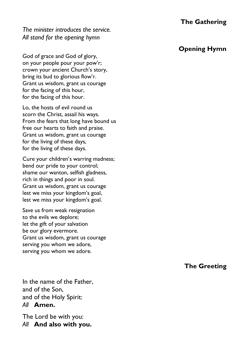*The minister introduces the service. All stand for the opening hymn*

God of grace and God of glory, on your people pour your pow'r; crown your ancient Church's story, bring its bud to glorious flow'r. Grant us wisdom, grant us courage for the facing of this hour, for the facing of this hour.

Lo, the hosts of evil round us scorn the Christ, assail his ways. From the fears that long have bound us free our hearts to faith and praise. Grant us wisdom, grant us courage for the living of these days, for the living of these days.

Cure your children's warring madness; bend our pride to your control; shame our wanton, selfish gladness, rich in things and poor in soul. Grant us wisdom, grant us courage lest we miss your kingdom's goal, lest we miss your kingdom's goal.

Save us from weak resignation to the evils we deplore; let the gift of your salvation be our glory evermore. Grant us wisdom, grant us courage serving you whom we adore, serving you whom we adore.

In the name of the Father, and of the Son, and of the Holy Spirit: *All* **Amen.**

The Lord be with you: *All* **And also with you.**

### **Opening Hymn**

#### **The Greeting**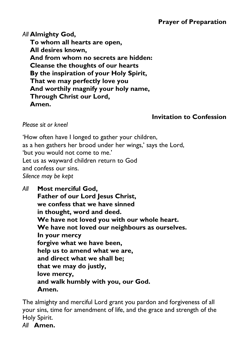#### **Prayer of Preparation**

*All* **Almighty God, To whom all hearts are open, All desires known, And from whom no secrets are hidden: Cleanse the thoughts of our hearts By the inspiration of your Holy Spirit, That we may perfectly love you And worthily magnify your holy name, Through Christ our Lord, Amen.**

#### **Invitation to Confession**

*Please sit or kneel*

'How often have I longed to gather your children, as a hen gathers her brood under her wings,' says the Lord, 'but you would not come to me.' Let us as wayward children return to God and confess our sins. *Silence may be kept*

*All* **Most merciful God, Father of our Lord Jesus Christ, we confess that we have sinned in thought, word and deed. We have not loved you with our whole heart. We have not loved our neighbours as ourselves. In your mercy forgive what we have been, help us to amend what we are, and direct what we shall be; that we may do justly, love mercy, and walk humbly with you, our God. Amen.**

The almighty and merciful Lord grant you pardon and forgiveness of all your sins, time for amendment of life, and the grace and strength of the Holy Spirit.

*All* **Amen.**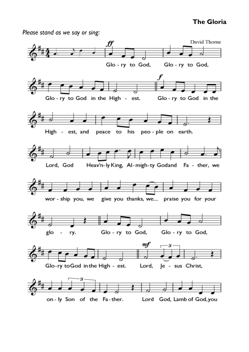#### **The Gloria**

*P lease stand as we say or sing:*

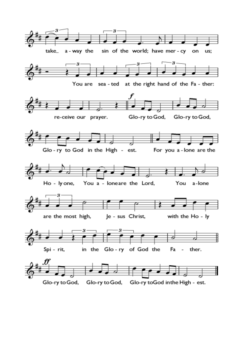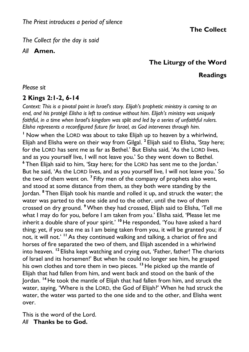*The Collect for the day is said*

*All* **Amen.**

# **The Liturgy of the Word**

#### **Readings**

*Please sit*

## **2 Kings 2:1-2, 6-14**

*Context: This is a pivotal point in Israel's story. Elijah's prophetic ministry is coming to an end, and his protégé Elisha is left to continue without him. Elijah's ministry was uniquely faithful, in a time when Israel's kingdom was split and led by a series of unfaithful rulers. Elisha represents a reconfigured future for Israel, as God intervenes through him.*

**<sup>1</sup>** Now when the LORD was about to take Elijah up to heaven by a whirlwind, Elijah and Elisha were on their way from Gilgal. **<sup>2</sup>** Elijah said to Elisha, 'Stay here; for the LORD has sent me as far as Bethel.' But Elisha said, 'As the LORD lives, and as you yourself live, I will not leave you.' So they went down to Bethel. **<sup>6</sup>** Then Elijah said to him, 'Stay here; for the LORD has sent me to the Jordan.' But he said, 'As the LORD lives, and as you yourself live, I will not leave you.' So the two of them went on. **<sup>7</sup>** Fifty men of the company of prophets also went, and stood at some distance from them, as they both were standing by the Jordan. **<sup>8</sup>** Then Elijah took his mantle and rolled it up, and struck the water; the water was parted to the one side and to the other, until the two of them crossed on dry ground. **<sup>9</sup>**When they had crossed, Elijah said to Elisha, 'Tell me what I may do for you, before I am taken from you.' Elisha said, 'Please let me inherit a double share of your spirit.' **<sup>10</sup>** He responded, 'You have asked a hard thing; yet, if you see me as I am being taken from you, it will be granted you; if not, it will not.' **<sup>11</sup>**As they continued walking and talking, a chariot of fire and horses of fire separated the two of them, and Elijah ascended in a whirlwind into heaven. **<sup>12</sup>** Elisha kept watching and crying out, 'Father, father! The chariots of Israel and its horsemen!' But when he could no longer see him, he grasped his own clothes and tore them in two pieces. **<sup>13</sup>** He picked up the mantle of Elijah that had fallen from him, and went back and stood on the bank of the Jordan. **<sup>14</sup>** He took the mantle of Elijah that had fallen from him, and struck the water, saying, 'Where is the LORD, the God of Elijah?' When he had struck the water, the water was parted to the one side and to the other, and Elisha went over.

This is the word of the Lord. *All* **Thanks be to God.**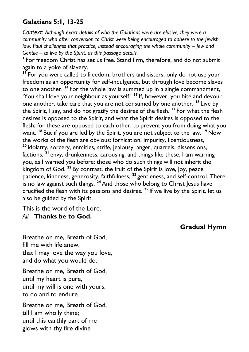#### **Galatians 5:1, 13-25**

*Context: Although exact details of who the Galatians were are elusive, they were a community who after conversion to Christ were being encouraged to adhere to the Jewish law. Paul challenges that practice, instead encouraging the whole community – Jew and Gentile – to live by the Spirit, as this passage details.*

**1** For freedom Christ has set us free. Stand firm, therefore, and do not submit again to a yoke of slavery.

<sup>13</sup> For you were called to freedom, brothers and sisters; only do not use your freedom as an opportunity for self-indulgence, but through love become slaves to one another. **<sup>14</sup>** For the whole law is summed up in a single commandment, 'You shall love your neighbour as yourself.' **<sup>15</sup>** If, however, you bite and devour one another, take care that you are not consumed by one another. **<sup>16</sup>** Live by the Spirit, I say, and do not gratify the desires of the flesh. **<sup>17</sup>** For what the flesh desires is opposed to the Spirit, and what the Spirit desires is opposed to the flesh; for these are opposed to each other, to prevent you from doing what you want. **<sup>18</sup>** But if you are led by the Spirit, you are not subject to the law. **<sup>19</sup>** Now the works of the flesh are obvious: fornication, impurity, licentiousness, **<sup>20</sup>** idolatry, sorcery, enmities, strife, jealousy, anger, quarrels, dissensions, factions, **<sup>21</sup>** envy, drunkenness, carousing, and things like these. I am warning you, as I warned you before: those who do such things will not inherit the kingdom of God. **<sup>22</sup>** By contrast, the fruit of the Spirit is love, joy, peace, patience, kindness, generosity, faithfulness, **<sup>23</sup>** gentleness, and self-control. There is no law against such things. **<sup>24</sup>**And those who belong to Christ Jesus have crucified the flesh with its passions and desires. **<sup>25</sup>** If we live by the Spirit, let us also be guided by the Spirit.

This is the word of the Lord. *All* **Thanks be to God.**

#### **Gradual Hymn**

Breathe on me, Breath of God, fill me with life anew, that I may love the way you love, and do what you would do.

Breathe on me, Breath of God, until my heart is pure, until my will is one with yours, to do and to endure.

Breathe on me, Breath of God, till I am wholly thine; until this earthly part of me glows with thy fire divine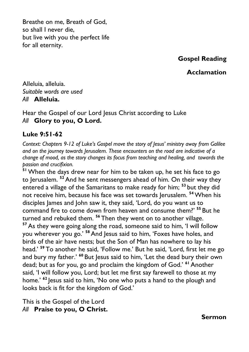Breathe on me, Breath of God, so shall I never die, but live with you the perfect life for all eternity.

#### **Gospel Reading**

#### **Acclamation**

Alleluia, alleluia. *Suitable words are used All* **Alleluia.**

Hear the Gospel of our Lord Jesus Christ according to Luke *All* **Glory to you, O Lord.**

#### **Luke 9:51-62**

*Context: Chapters 9-12 of Luke's Gospel move the story of Jesus' ministry away from Galilee and on the journey towards Jerusalem. These encounters on the road are indicative of a change of mood, as the story changes its focus from teaching and healing, and towards the passion and crucifixion.*

**<sup>51</sup>**When the days drew near for him to be taken up, he set his face to go to Jerusalem. **<sup>52</sup>** And he sent messengers ahead of him. On their way they entered a village of the Samaritans to make ready for him; **<sup>53</sup>** but they did not receive him, because his face was set towards Jerusalem. **<sup>54</sup>**When his disciples James and John saw it, they said, 'Lord, do you want us to command fire to come down from heaven and consume them?' **<sup>55</sup>** But he turned and rebuked them. **<sup>56</sup>** Then they went on to another village. **<sup>57</sup>** As they were going along the road, someone said to him, 'I will follow you wherever you go.' **<sup>58</sup>** And Jesus said to him, 'Foxes have holes, and birds of the air have nests; but the Son of Man has nowhere to lay his head.' **<sup>59</sup>** To another he said, 'Follow me.' But he said, 'Lord, first let me go and bury my father.' **<sup>60</sup>** But Jesus said to him, 'Let the dead bury their own dead; but as for you, go and proclaim the kingdom of God.' **<sup>61</sup>** Another said, 'I will follow you, Lord; but let me first say farewell to those at my home.' **<sup>62</sup>** Jesus said to him, 'No one who puts a hand to the plough and looks back is fit for the kingdom of God.'

This is the Gospel of the Lord *All* **Praise to you, O Christ.**

**Sermon**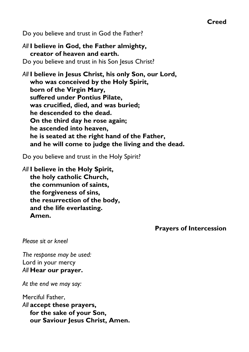Do you believe and trust in God the Father?

*All* **I believe in God, the Father almighty, creator of heaven and earth.** Do you believe and trust in his Son Jesus Christ?

*All* **I believe in Jesus Christ, his only Son, our Lord, who was conceived by the Holy Spirit, born of the Virgin Mary, suffered under Pontius Pilate, was crucified, died, and was buried; he descended to the dead. On the third day he rose again; he ascended into heaven, he is seated at the right hand of the Father, and he will come to judge the living and the dead.**

Do you believe and trust in the Holy Spirit?

*All* **I believe in the Holy Spirit, the holy catholic Church, the communion of saints, the forgiveness of sins, the resurrection of the body, and the life everlasting. Amen.**

**Prayers of Intercession**

*Please sit or kneel*

*The response may be used:* Lord in your mercy *All* **Hear our prayer.**

*At the end we may say:*

Merciful Father, *All* **accept these prayers, for the sake of your Son, our Saviour Jesus Christ, Amen.**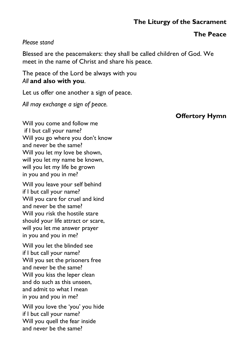#### **The Liturgy of the Sacrament**

#### **The Peace**

#### *Please stand*

Blessed are the peacemakers: they shall be called children of God. We meet in the name of Christ and share his peace.

The peace of the Lord be always with you *All* **and also with you**.

Let us offer one another a sign of peace.

*All may exchange a sign of peace.*

#### **Offertory Hymn**

Will you come and follow me if I but call your name? Will you go where you don't know and never be the same? Will you let my love be shown, will you let my name be known, will you let my life be grown in you and you in me?

Will you leave your self behind if I but call your name? Will you care for cruel and kind and never be the same? Will you risk the hostile stare should your life attract or scare, will you let me answer prayer in you and you in me?

Will you let the blinded see if I but call your name? Will you set the prisoners free and never be the same? Will you kiss the leper clean and do such as this unseen, and admit to what I mean in you and you in me?

Will you love the 'you' you hide if I but call your name? Will you quell the fear inside and never be the same?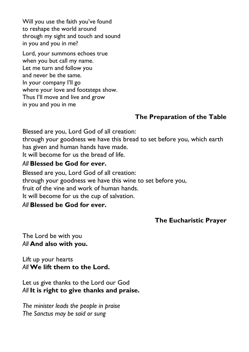Will you use the faith you've found to reshape the world around through my sight and touch and sound in you and you in me?

Lord, your summons echoes true when you but call my name. Let me turn and follow you and never be the same. In your company I'll go where your love and footsteps show. Thus I'll move and live and grow in you and you in me

#### **The Preparation of the Table**

Blessed are you, Lord God of all creation: through your goodness we have this bread to set before you, which earth has given and human hands have made. It will become for us the bread of life.

#### *All* **Blessed be God for ever.**

Blessed are you, Lord God of all creation: through your goodness we have this wine to set before you, fruit of the vine and work of human hands. It will become for us the cup of salvation.

#### *All* **Blessed be God for ever.**

## **The Eucharistic Prayer**

The Lord be with you *All* **And also with you.**

Lift up your hearts *All* **We lift them to the Lord.**

Let us give thanks to the Lord our God *All* **It is right to give thanks and praise.**

*The minister leads the people in praise The Sanctus may be said or sung*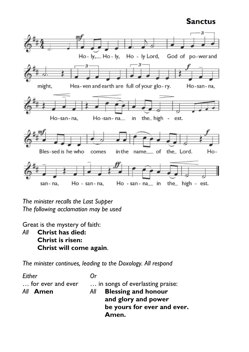## **Sanctus**



*The minister recalls the Last Supper The following acclamation may be used*

Great is the mystery of faith: *All* **Christ has died: Christ is risen: Christ will come again**.

*The minister continues, leading to the Doxology. All respond*

| Either            | Or                                |
|-------------------|-----------------------------------|
| for ever and ever | in songs of everlasting praise:   |
| All <b>Amen</b>   | <b>Blessing and honour</b><br>All |
|                   | and glory and power               |
|                   | be yours for ever and ever.       |
|                   | Amen.                             |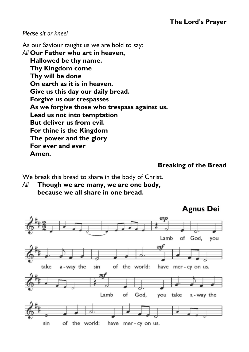*Please sit or kneel*

As our Saviour taught us we are bold to say: *All* **Our Father who art in heaven, Hallowed be thy name. Thy Kingdom come Thy will be done On earth as it is in heaven. Give us this day our daily bread. Forgive us our trespasses As we forgive those who trespass against us. Lead us not into temptation But deliver us from evil. For thine is the Kingdom The power and the glory For ever and ever Amen.**

#### **Breaking of the Bread**

We break this bread to share in the body of Christ.

*All* **Though we are many, we are one body, because we all share in one bread.** 

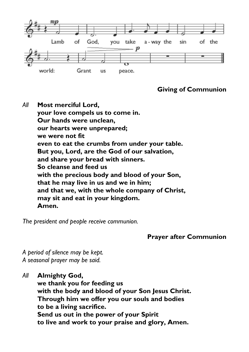

**Giving of Communion**

*All* **Most merciful Lord, your love compels us to come in. Our hands were unclean, our hearts were unprepared; we were not fit even to eat the crumbs from under your table. But you, Lord, are the God of our salvation, and share your bread with sinners. So cleanse and feed us with the precious body and blood of your Son, that he may live in us and we in him; and that we, with the whole company of Christ, may sit and eat in your kingdom. Amen.**

*The president and people receive communion.*

**Prayer after Communion**

*A period of silence may be kept. A seasonal prayer may be said.* 

*All* **Almighty God, we thank you for feeding us with the body and blood of your Son Jesus Christ. Through him we offer you our souls and bodies to be a living sacrifice. Send us out in the power of your Spirit to live and work to your praise and glory, Amen.**